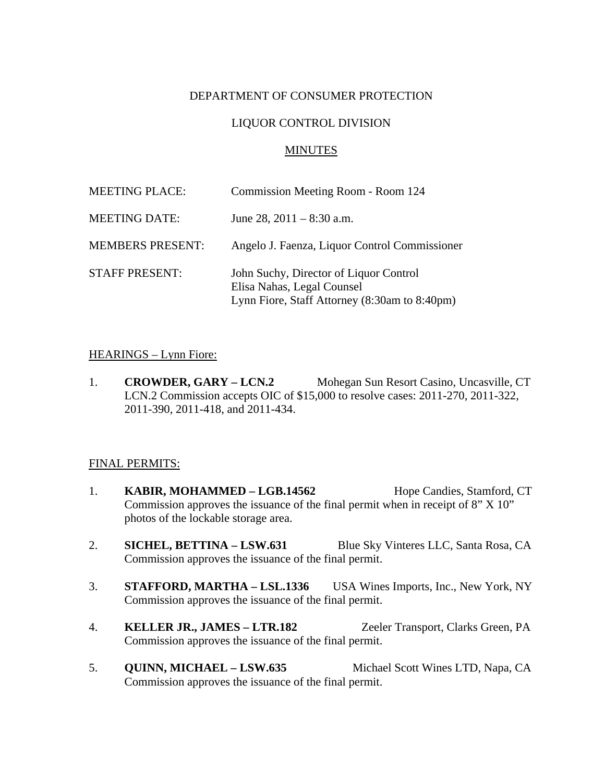# DEPARTMENT OF CONSUMER PROTECTION

## LIQUOR CONTROL DIVISION

### MINUTES

| <b>MEETING PLACE:</b>   | Commission Meeting Room - Room 124                                                                                    |
|-------------------------|-----------------------------------------------------------------------------------------------------------------------|
| <b>MEETING DATE:</b>    | June 28, $2011 - 8:30$ a.m.                                                                                           |
| <b>MEMBERS PRESENT:</b> | Angelo J. Faenza, Liquor Control Commissioner                                                                         |
| <b>STAFF PRESENT:</b>   | John Suchy, Director of Liquor Control<br>Elisa Nahas, Legal Counsel<br>Lynn Fiore, Staff Attorney (8:30am to 8:40pm) |

### HEARINGS – Lynn Fiore:

1. **CROWDER, GARY – LCN.2** Mohegan Sun Resort Casino, Uncasville, CT LCN.2 Commission accepts OIC of \$15,000 to resolve cases: 2011-270, 2011-322, 2011-390, 2011-418, and 2011-434.

#### FINAL PERMITS:

- 1. **KABIR, MOHAMMED LGB.14562** Hope Candies, Stamford, CT Commission approves the issuance of the final permit when in receipt of 8" X 10" photos of the lockable storage area.
- 2. **SICHEL, BETTINA LSW.631** Blue Sky Vinteres LLC, Santa Rosa, CA Commission approves the issuance of the final permit.
- 3. **STAFFORD, MARTHA LSL.1336** USA Wines Imports, Inc., New York, NY Commission approves the issuance of the final permit.
- 4. **KELLER JR., JAMES LTR.182** Zeeler Transport, Clarks Green, PA Commission approves the issuance of the final permit.
- 5. **QUINN, MICHAEL LSW.635** Michael Scott Wines LTD, Napa, CA Commission approves the issuance of the final permit.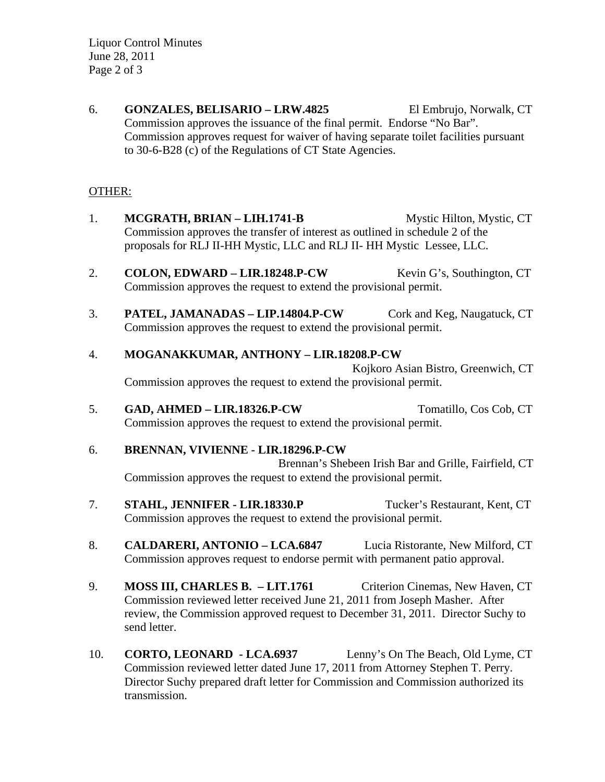Liquor Control Minutes June 28, 2011 Page 2 of 3

6. **GONZALES, BELISARIO – LRW.4825** El Embrujo, Norwalk, CT Commission approves the issuance of the final permit. Endorse "No Bar". Commission approves request for waiver of having separate toilet facilities pursuant to 30-6-B28 (c) of the Regulations of CT State Agencies.

# OTHER:

- 1. **MCGRATH, BRIAN LIH.1741-B** Mystic Hilton, Mystic, CT Commission approves the transfer of interest as outlined in schedule 2 of the proposals for RLJ II-HH Mystic, LLC and RLJ II- HH Mystic Lessee, LLC.
- 2. **COLON, EDWARD LIR.18248.P-CW** Kevin G's, Southington, CT Commission approves the request to extend the provisional permit.
- 3. **PATEL, JAMANADAS LIP.14804.P-CW** Cork and Keg, Naugatuck, CT Commission approves the request to extend the provisional permit.

# 4. **MOGANAKKUMAR, ANTHONY – LIR.18208.P-CW**

Kojkoro Asian Bistro, Greenwich, CT Commission approves the request to extend the provisional permit.

5. **GAD, AHMED – LIR.18326.P-CW** Tomatillo, Cos Cob, CT Commission approves the request to extend the provisional permit.

# 6. **BRENNAN, VIVIENNE - LIR.18296.P-CW**

Brennan's Shebeen Irish Bar and Grille, Fairfield, CT Commission approves the request to extend the provisional permit.

- 7. **STAHL, JENNIFER LIR.18330.P** Tucker's Restaurant, Kent, CT Commission approves the request to extend the provisional permit.
- 8. **CALDARERI, ANTONIO LCA.6847** Lucia Ristorante, New Milford, CT Commission approves request to endorse permit with permanent patio approval.
- 9. **MOSS III, CHARLES B. LIT.1761** Criterion Cinemas, New Haven, CT Commission reviewed letter received June 21, 2011 from Joseph Masher. After review, the Commission approved request to December 31, 2011. Director Suchy to send letter.
- 10. **CORTO, LEONARD LCA.6937** Lenny's On The Beach, Old Lyme, CT Commission reviewed letter dated June 17, 2011 from Attorney Stephen T. Perry. Director Suchy prepared draft letter for Commission and Commission authorized its transmission.